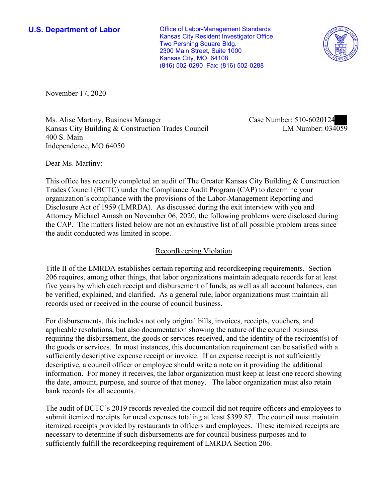**U.S. Department of Labor Conservative Conservative Conservative Conservative Conservative Conservative Conservative Conservative Conservative Conservative Conservative Conservative Conservative Conservative Conservative** Kansas City Resident Investigator Office Two Pershing Square Bldg. 2300 Main Street, Suite 1000 Kansas City, MO 64108 (816) 502-0290 Fax: (816) 502-0288



November 17, 2020

Ms. Alise Martiny, Business Manager Kansas City Building & Construction Trades Council 400 S. Main Independence, MO 64050

Case Number: 510-6020124 LM Number: 034059

Dear Ms. Martiny:

This office has recently completed an audit of The Greater Kansas City Building & Construction Trades Council (BCTC) under the Compliance Audit Program (CAP) to determine your organization's compliance with the provisions of the Labor-Management Reporting and Disclosure Act of 1959 (LMRDA). As discussed during the exit interview with you and Attorney Michael Amash on November 06, 2020, the following problems were disclosed during the CAP. The matters listed below are not an exhaustive list of all possible problem areas since the audit conducted was limited in scope.

## Recordkeeping Violation

Title II of the LMRDA establishes certain reporting and recordkeeping requirements. Section 206 requires, among other things, that labor organizations maintain adequate records for at least five years by which each receipt and disbursement of funds, as well as all account balances, can be verified, explained, and clarified. As a general rule, labor organizations must maintain all records used or received in the course of council business.

For disbursements, this includes not only original bills, invoices, receipts, vouchers, and applicable resolutions, but also documentation showing the nature of the council business requiring the disbursement, the goods or services received, and the identity of the recipient(s) of the goods or services. In most instances, this documentation requirement can be satisfied with a sufficiently descriptive expense receipt or invoice. If an expense receipt is not sufficiently descriptive, a council officer or employee should write a note on it providing the additional information. For money it receives, the labor organization must keep at least one record showing the date, amount, purpose, and source of that money. The labor organization must also retain bank records for all accounts.

The audit of BCTC's 2019 records revealed the council did not require officers and employees to submit itemized receipts for meal expenses totaling at least \$399.87. The council must maintain itemized receipts provided by restaurants to officers and employees. These itemized receipts are necessary to determine if such disbursements are for council business purposes and to sufficiently fulfill the recordkeeping requirement of LMRDA Section 206.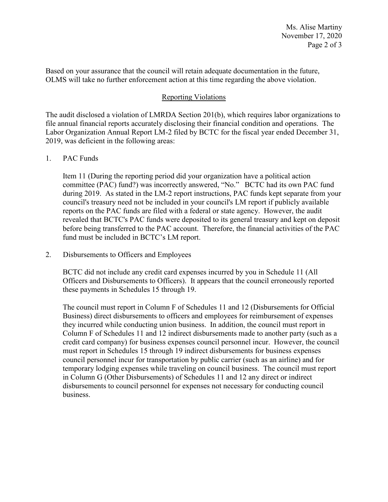Based on your assurance that the council will retain adequate documentation in the future, OLMS will take no further enforcement action at this time regarding the above violation.

## Reporting Violations

The audit disclosed a violation of LMRDA Section 201(b), which requires labor organizations to file annual financial reports accurately disclosing their financial condition and operations. The Labor Organization Annual Report LM-2 filed by BCTC for the fiscal year ended December 31, 2019, was deficient in the following areas:

## 1. PAC Funds

Item 11 (During the reporting period did your organization have a political action committee (PAC) fund?) was incorrectly answered, "No." BCTC had its own PAC fund during 2019. As stated in the LM-2 report instructions, PAC funds kept separate from your council's treasury need not be included in your council's LM report if publicly available reports on the PAC funds are filed with a federal or state agency. However, the audit revealed that BCTC's PAC funds were deposited to its general treasury and kept on deposit before being transferred to the PAC account. Therefore, the financial activities of the PAC fund must be included in BCTC's LM report.

2. Disbursements to Officers and Employees

BCTC did not include any credit card expenses incurred by you in Schedule 11 (All Officers and Disbursements to Officers). It appears that the council erroneously reported these payments in Schedules 15 through 19.

The council must report in Column F of Schedules 11 and 12 (Disbursements for Official Business) direct disbursements to officers and employees for reimbursement of expenses they incurred while conducting union business. In addition, the council must report in Column F of Schedules 11 and 12 indirect disbursements made to another party (such as a credit card company) for business expenses council personnel incur. However, the council must report in Schedules 15 through 19 indirect disbursements for business expenses council personnel incur for transportation by public carrier (such as an airline) and for temporary lodging expenses while traveling on council business. The council must report in Column G (Other Disbursements) of Schedules 11 and 12 any direct or indirect disbursements to council personnel for expenses not necessary for conducting council business.